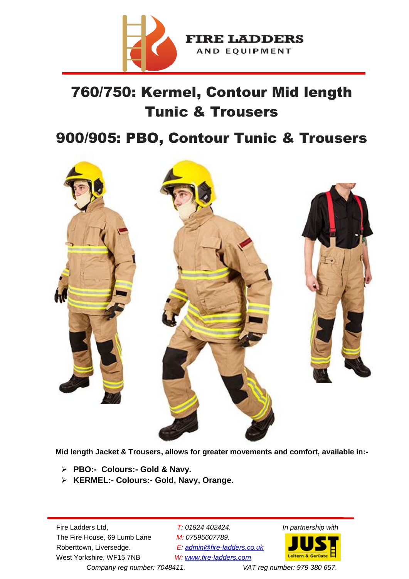

# 760/750: Kermel, Contour Mid length Tunic & Trousers

## 900/905: PBO, Contour Tunic & Trousers



**Mid length Jacket & Trousers, allows for greater movements and comfort, available in:-**

- **PBO:- Colours:- Gold & Navy.**
- **KERMEL:- Colours:- Gold, Navy, Orange.**

 The Fire House, 69 Lumb Lane *M: 07595607789.*  Roberttown, Liversedge. *E: admin@fire-ladders.co.uk* West Yorkshire, WF15 7NB *W: www.fire-ladders.com* 

Fire Ladders Ltd, *T: 01924 402424. In partnership with*